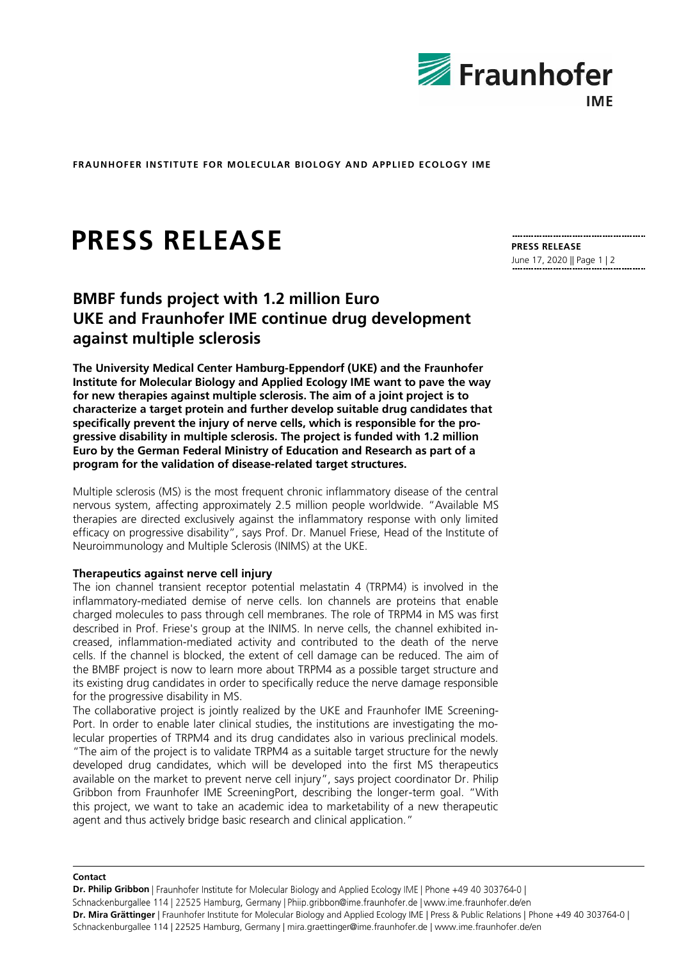

**FRAUNHOFER INSTITUTE FOR MOLECULAR BIOLOGY AND APPLIED ECOLOGY IME**

# **PRESS RELEASE**

## **BMBF funds project with 1.2 million Euro UKE and Fraunhofer IME continue drug development against multiple sclerosis**

**The University Medical Center Hamburg-Eppendorf (UKE) and the Fraunhofer Institute for Molecular Biology and Applied Ecology IME want to pave the way for new therapies against multiple sclerosis. The aim of a joint project is to characterize a target protein and further develop suitable drug candidates that specifically prevent the injury of nerve cells, which is responsible for the progressive disability in multiple sclerosis. The project is funded with 1.2 million Euro by the German Federal Ministry of Education and Research as part of a program for the validation of disease-related target structures.**

Multiple sclerosis (MS) is the most frequent chronic inflammatory disease of the central nervous system, affecting approximately 2.5 million people worldwide. "Available MS therapies are directed exclusively against the inflammatory response with only limited efficacy on progressive disability", says Prof. Dr. Manuel Friese, Head of the Institute of Neuroimmunology and Multiple Sclerosis (INIMS) at the UKE.

#### **Therapeutics against nerve cell injury**

The ion channel transient receptor potential melastatin 4 (TRPM4) is involved in the inflammatory-mediated demise of nerve cells. Ion channels are proteins that enable charged molecules to pass through cell membranes. The role of TRPM4 in MS was first described in Prof. Friese's group at the INIMS. In nerve cells, the channel exhibited increased, inflammation-mediated activity and contributed to the death of the nerve cells. If the channel is blocked, the extent of cell damage can be reduced. The aim of the BMBF project is now to learn more about TRPM4 as a possible target structure and its existing drug candidates in order to specifically reduce the nerve damage responsible for the progressive disability in MS.

The collaborative project is jointly realized by the UKE and Fraunhofer IME Screening-Port. In order to enable later clinical studies, the institutions are investigating the molecular properties of TRPM4 and its drug candidates also in various preclinical models. "The aim of the project is to validate TRPM4 as a suitable target structure for the newly developed drug candidates, which will be developed into the first MS therapeutics available on the market to prevent nerve cell injury", says project coordinator Dr. Philip Gribbon from Fraunhofer IME ScreeningPort, describing the longer-term goal. "With this project, we want to take an academic idea to marketability of a new therapeutic agent and thus actively bridge basic research and clinical application."

**Contact**

**Dr. Philip Gribbon** | Fraunhofer Institute for Molecular Biology and Applied Ecology IME | Phone +49 40 303764-0 | Schnackenburgallee 114 | 22525 Hamburg, Germany | Phiip.gribbon@ime.fraunhofer.de | www.ime.fraunhofer.de/en **Dr. Mira Grättinger** | Fraunhofer Institute for Molecular Biology and Applied Ecology IME | Press & Public Relations | Phone +49 40 303764-0 | Schnackenburgallee 114 | 22525 Hamburg, Germany | mira.graettinger@ime.fraunhofer.de | www.ime.fraunhofer.de/en

**PRESS RELEASE** June 17, 2020 || Page 1 | 2